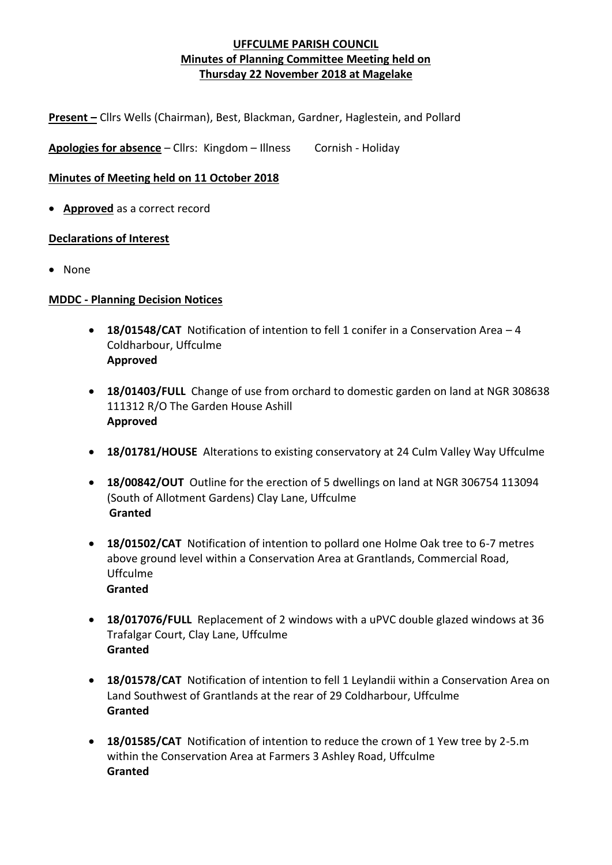**Present –** Cllrs Wells (Chairman), Best, Blackman, Gardner, Haglestein, and Pollard

Apologies for absence - Cllrs: Kingdom - Illness Cornish - Holiday

# **Minutes of Meeting held on 11 October 2018**

• **Approved** as a correct record

# **Declarations of Interest**

• None

#### **MDDC - Planning Decision Notices**

- **18/01548/CAT** Notification of intention to fell 1 conifer in a Conservation Area 4 Coldharbour, Uffculme **Approved**
- **18/01403/FULL** Change of use from orchard to domestic garden on land at NGR 308638 111312 R/O The Garden House Ashill **Approved**
- **18/01781/HOUSE** Alterations to existing conservatory at 24 Culm Valley Way Uffculme
- **18/00842/OUT** Outline for the erection of 5 dwellings on land at NGR 306754 113094 (South of Allotment Gardens) Clay Lane, Uffculme  **Granted**
- **18/01502/CAT** Notification of intention to pollard one Holme Oak tree to 6-7 metres above ground level within a Conservation Area at Grantlands, Commercial Road, Uffculme  **Granted**
- **18/017076/FULL** Replacement of 2 windows with a uPVC double glazed windows at 36 Trafalgar Court, Clay Lane, Uffculme **Granted**
- **18/01578/CAT** Notification of intention to fell 1 Leylandii within a Conservation Area on Land Southwest of Grantlands at the rear of 29 Coldharbour, Uffculme **Granted**
- **18/01585/CAT** Notification of intention to reduce the crown of 1 Yew tree by 2-5.m within the Conservation Area at Farmers 3 Ashley Road, Uffculme **Granted**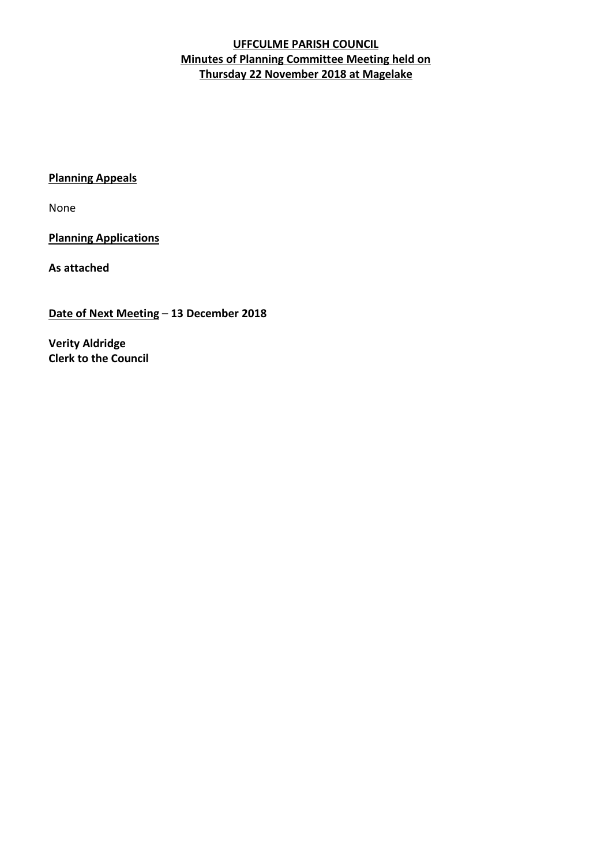# **Planning Appeals**

None

**Planning Applications**

**As attached**

**Date of Next Meeting** – **13 December 2018**

**Verity Aldridge Clerk to the Council**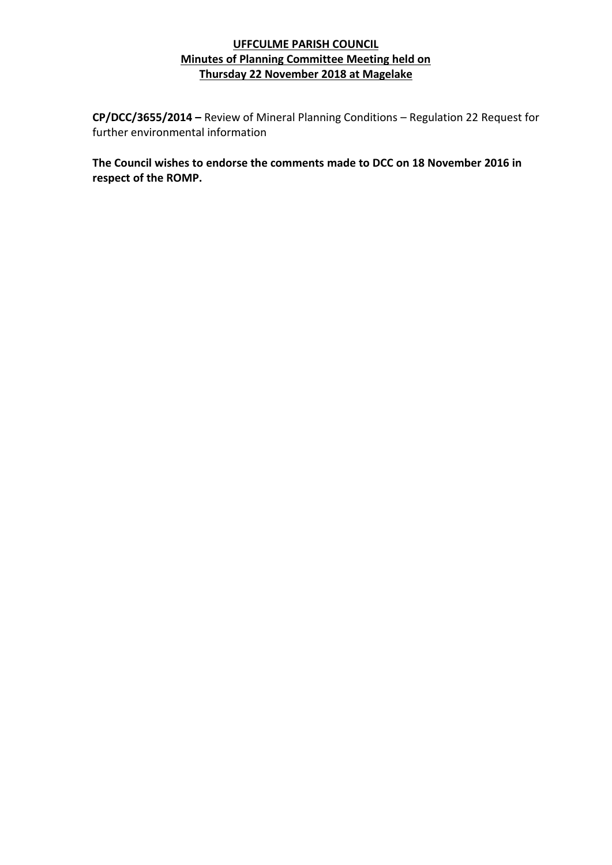**CP/DCC/3655/2014 –** Review of Mineral Planning Conditions – Regulation 22 Request for further environmental information

**The Council wishes to endorse the comments made to DCC on 18 November 2016 in respect of the ROMP.**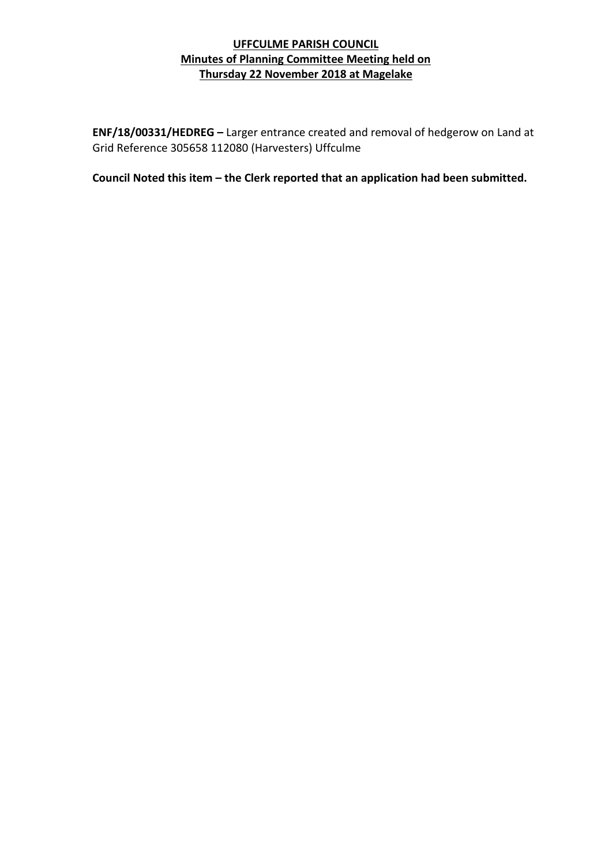**ENF/18/00331/HEDREG –** Larger entrance created and removal of hedgerow on Land at Grid Reference 305658 112080 (Harvesters) Uffculme

**Council Noted this item – the Clerk reported that an application had been submitted.**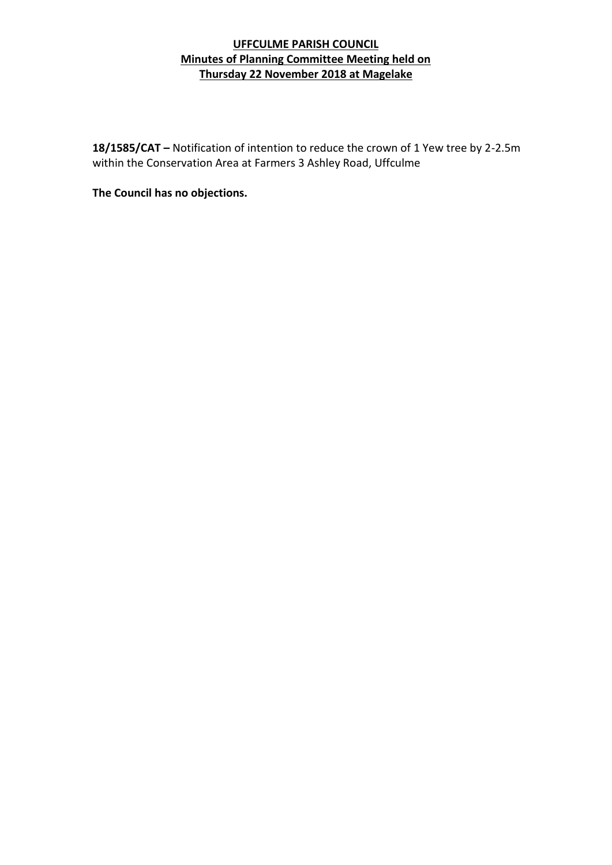**18/1585/CAT –** Notification of intention to reduce the crown of 1 Yew tree by 2-2.5m within the Conservation Area at Farmers 3 Ashley Road, Uffculme

**The Council has no objections.**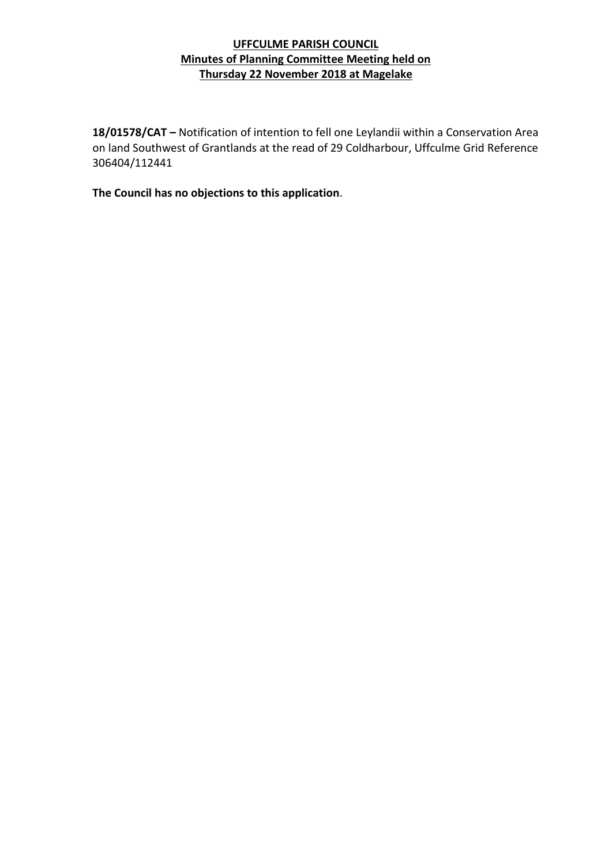**18/01578/CAT –** Notification of intention to fell one Leylandii within a Conservation Area on land Southwest of Grantlands at the read of 29 Coldharbour, Uffculme Grid Reference 306404/112441

**The Council has no objections to this application**.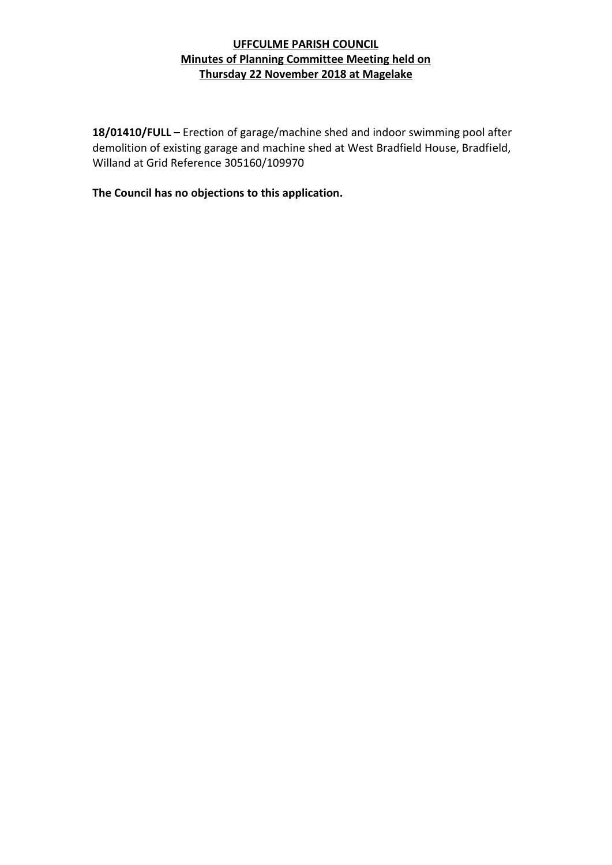**18/01410/FULL –** Erection of garage/machine shed and indoor swimming pool after demolition of existing garage and machine shed at West Bradfield House, Bradfield, Willand at Grid Reference 305160/109970

**The Council has no objections to this application.**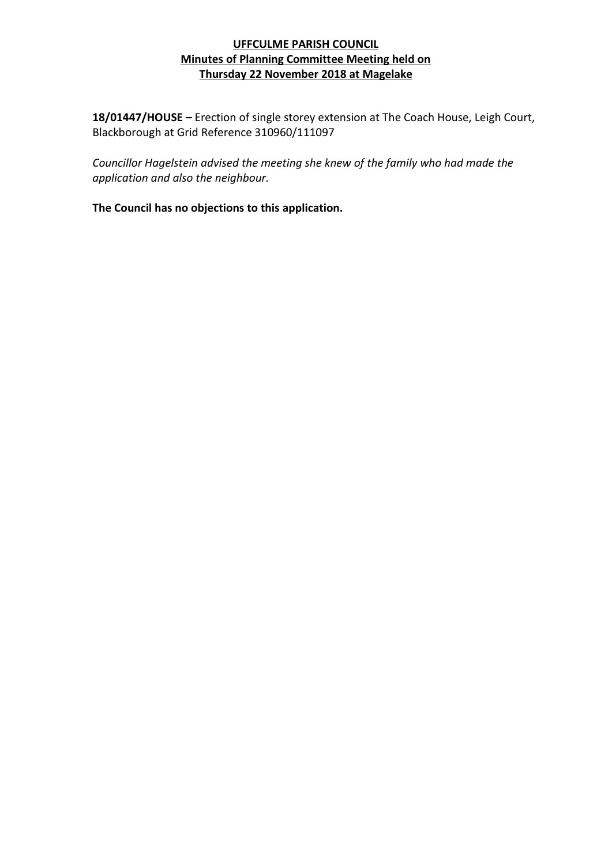**18/01447/HOUSE –** Erection of single storey extension at The Coach House, Leigh Court, Blackborough at Grid Reference 310960/111097

*Councillor Hagelstein advised the meeting she knew of the family who had made the application and also the neighbour.*

**The Council has no objections to this application.**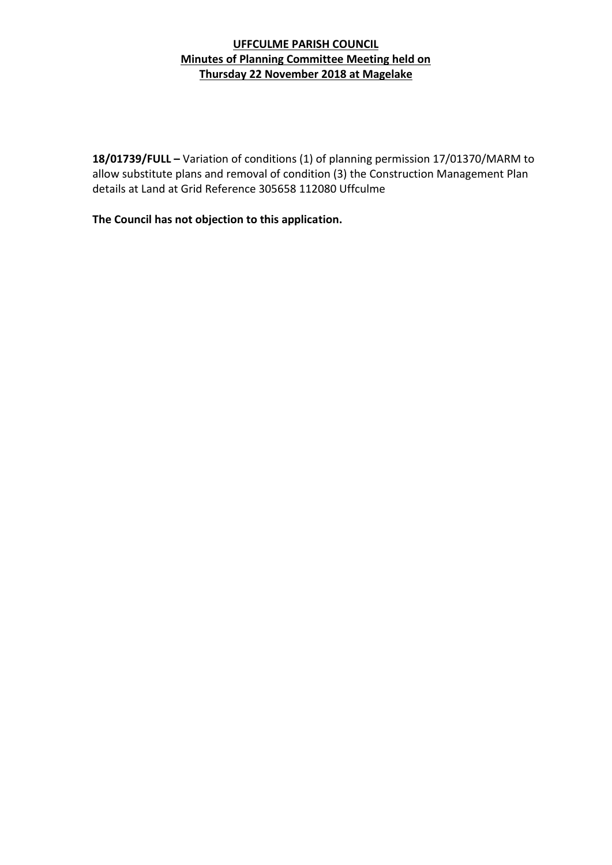**18/01739/FULL –** Variation of conditions (1) of planning permission 17/01370/MARM to allow substitute plans and removal of condition (3) the Construction Management Plan details at Land at Grid Reference 305658 112080 Uffculme

**The Council has not objection to this application.**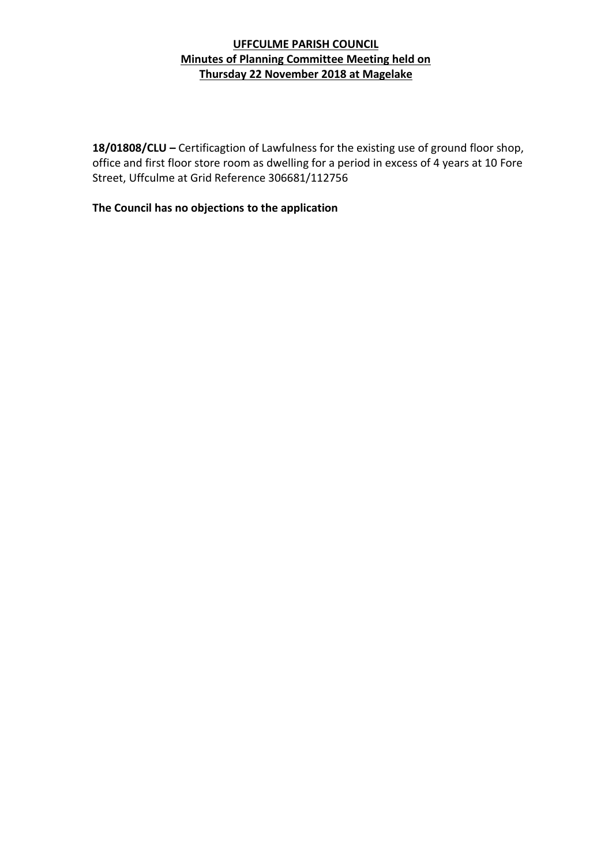**18/01808/CLU –** Certificagtion of Lawfulness for the existing use of ground floor shop, office and first floor store room as dwelling for a period in excess of 4 years at 10 Fore Street, Uffculme at Grid Reference 306681/112756

**The Council has no objections to the application**